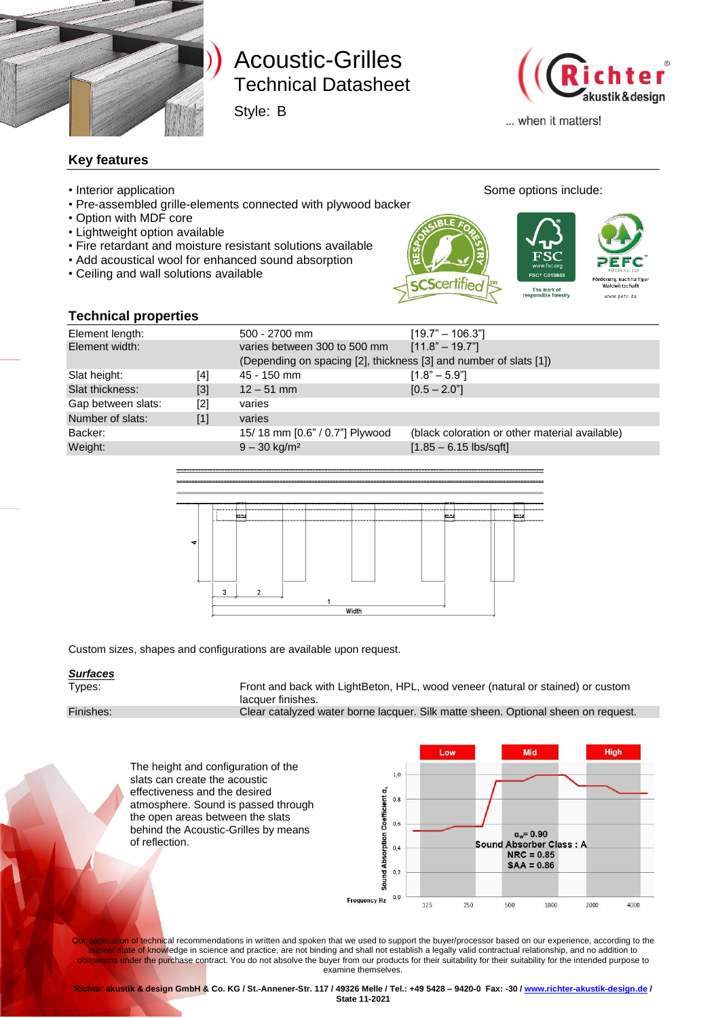

# Technical Datasheet Technical Datasheet Acoustic-Grilles

Style: B



haltige

www.pefc.de

... when it matters!

#### **Key features**

- Interior application **Some options include:** Some options include:
- Pre-assembled grille-elements connected with plywood backer
- Option with MDF core
- Lightweight option available
- Fire retardant and moisture resistant solutions available
- Add acoustical wool for enhanced sound absorption
- Ceiling and wall solutions available

The mark of<br>sponsible forestry

#### **Technical properties**

| <b>Technical properties</b> |       |                                                                   |                                                |  |
|-----------------------------|-------|-------------------------------------------------------------------|------------------------------------------------|--|
| Element length:             |       | 500 - 2700 mm                                                     | $[19.7" - 106.3"]$                             |  |
| Element width:              |       | varies between 300 to 500 mm                                      | $[11.8" - 19.7"]$                              |  |
|                             |       | (Depending on spacing [2], thickness [3] and number of slats [1]) |                                                |  |
| Slat height:                | [4]   | 45 - 150 mm                                                       | $[1.8" - 5.9"]$                                |  |
| Slat thickness:             | $[3]$ | $12 - 51$ mm                                                      | $[0.5 - 2.0$ "                                 |  |
| Gap between slats:          | [2]   | varies                                                            |                                                |  |
| Number of slats:            | [1]   | varies                                                            |                                                |  |
| Backer:                     |       | 15/18 mm [0.6" / 0.7"] Plywood                                    | (black coloration or other material available) |  |
| Weight:                     |       | $9 - 30$ kg/m <sup>2</sup>                                        | $[1.85 - 6.15$ lbs/sqft]                       |  |
|                             |       |                                                                   |                                                |  |
|                             |       |                                                                   |                                                |  |



Custom sizes, shapes and configurations are available upon request.

# *Surfaces*

Front and back with LightBeton, HPL, wood veneer (natural or stained) or custom lacquer finishes.

Finishes: Clear catalyzed water borne lacquer. Silk matte sheen. Optional sheen on request.

Mid Hinh l ou The height and configuration of the  $1,0$ slats can create the acoustic effectiveness and the desired Sound Absorption Coefficient a,  $0,8$ atmosphere. Sound is passed through the open areas between the slats  $0,6$ behind the Acoustic-Grilles by means  $\alpha_w = 0.90$ of reflection.Sound **Absorber Class: A**  $0,4$  $NRC = 0.85$  $SAA = 0.86$  $0,2$  $0.0$ **Frequency Hz** 125 250 500 1000 2000 4000

Our application of technical recommendations in written and spoken that we used to support the buyer/processor based on our experience, according to the current state of knowledge in science and practice, are not binding and shall not establish a legally valid contractual relationship, and no addition to obligations under the purchase contract. You do not absolve the buyer from our products for their suitability for their suitability for the intended purpose to examine themselves.